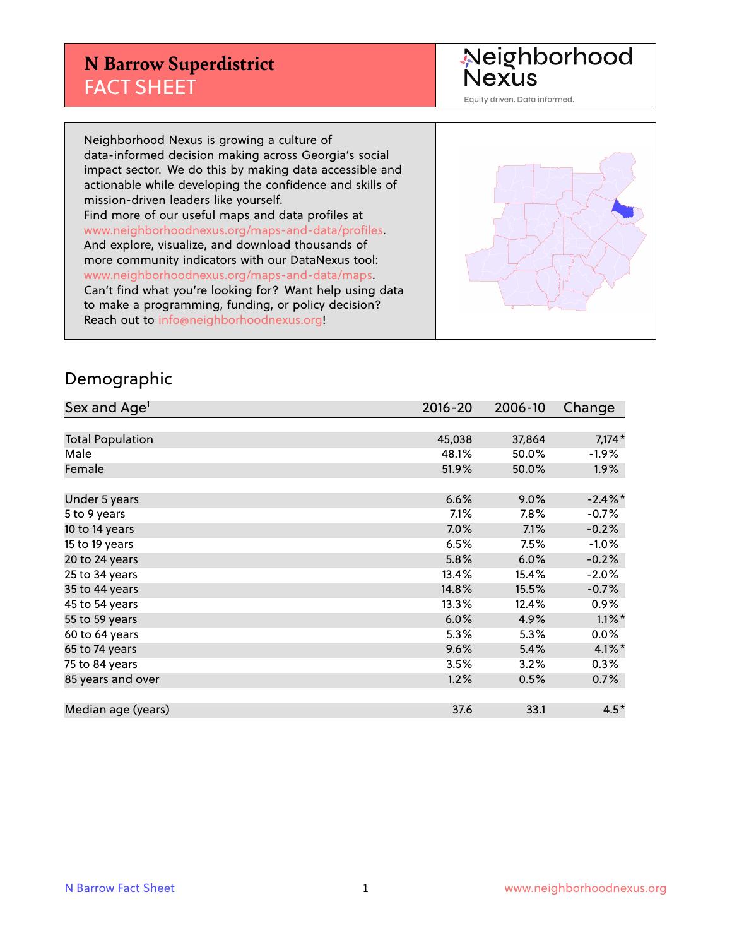#### **N Barrow Superdistrict** FACT SHEET

Neighborhood<br>Nexus

Equity driven. Data informed.

Neighborhood Nexus is growing a culture of data-informed decision making across Georgia's social impact sector. We do this by making data accessible and actionable while developing the confidence and skills of mission-driven leaders like yourself. Find more of our useful maps and data profiles at www.neighborhoodnexus.org/maps-and-data/profiles. And explore, visualize, and download thousands of more community indicators with our DataNexus tool: www.neighborhoodnexus.org/maps-and-data/maps. Can't find what you're looking for? Want help using data to make a programming, funding, or policy decision? Reach out to [info@neighborhoodnexus.org!](mailto:info@neighborhoodnexus.org)



#### Demographic

| Sex and Age <sup>1</sup> | $2016 - 20$ | 2006-10 | Change     |
|--------------------------|-------------|---------|------------|
|                          |             |         |            |
| <b>Total Population</b>  | 45,038      | 37,864  | $7,174*$   |
| Male                     | 48.1%       | 50.0%   | $-1.9\%$   |
| Female                   | 51.9%       | 50.0%   | $1.9\%$    |
|                          |             |         |            |
| Under 5 years            | 6.6%        | 9.0%    | $-2.4\%$ * |
| 5 to 9 years             | 7.1%        | 7.8%    | $-0.7%$    |
| 10 to 14 years           | $7.0\%$     | 7.1%    | $-0.2%$    |
| 15 to 19 years           | 6.5%        | 7.5%    | $-1.0%$    |
| 20 to 24 years           | 5.8%        | 6.0%    | $-0.2%$    |
| 25 to 34 years           | 13.4%       | 15.4%   | $-2.0%$    |
| 35 to 44 years           | 14.8%       | 15.5%   | $-0.7%$    |
| 45 to 54 years           | 13.3%       | 12.4%   | 0.9%       |
| 55 to 59 years           | 6.0%        | 4.9%    | $1.1\%$ *  |
| 60 to 64 years           | 5.3%        | 5.3%    | $0.0\%$    |
| 65 to 74 years           | 9.6%        | 5.4%    | $4.1\%$ *  |
| 75 to 84 years           | 3.5%        | 3.2%    | $0.3\%$    |
| 85 years and over        | 1.2%        | 0.5%    | 0.7%       |
|                          |             |         |            |
| Median age (years)       | 37.6        | 33.1    | $4.5*$     |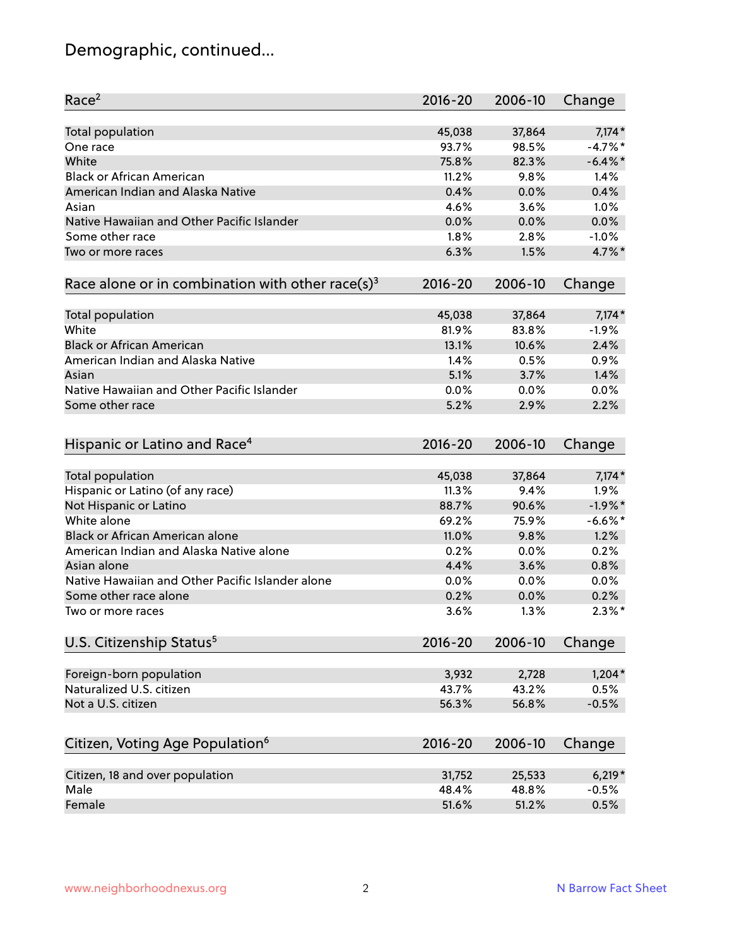# Demographic, continued...

| Race <sup>2</sup>                                            | $2016 - 20$ | 2006-10 | Change     |
|--------------------------------------------------------------|-------------|---------|------------|
| <b>Total population</b>                                      | 45,038      | 37,864  | $7,174*$   |
| One race                                                     | 93.7%       | 98.5%   | $-4.7%$ *  |
| White                                                        | 75.8%       | 82.3%   | $-6.4\%$ * |
| <b>Black or African American</b>                             | 11.2%       | 9.8%    | 1.4%       |
| American Indian and Alaska Native                            | 0.4%        | 0.0%    | 0.4%       |
| Asian                                                        | 4.6%        | 3.6%    | 1.0%       |
| Native Hawaiian and Other Pacific Islander                   | 0.0%        | 0.0%    | 0.0%       |
| Some other race                                              | 1.8%        | 2.8%    | $-1.0%$    |
| Two or more races                                            | 6.3%        | 1.5%    | 4.7%*      |
| Race alone or in combination with other race(s) <sup>3</sup> | $2016 - 20$ | 2006-10 | Change     |
| Total population                                             | 45,038      | 37,864  | $7,174*$   |
| White                                                        | 81.9%       | 83.8%   | $-1.9%$    |
| <b>Black or African American</b>                             | 13.1%       | 10.6%   | 2.4%       |
| American Indian and Alaska Native                            | 1.4%        | 0.5%    | 0.9%       |
| Asian                                                        | 5.1%        | 3.7%    | 1.4%       |
| Native Hawaiian and Other Pacific Islander                   | 0.0%        | 0.0%    | 0.0%       |
| Some other race                                              | 5.2%        | 2.9%    | 2.2%       |
| Hispanic or Latino and Race <sup>4</sup>                     | $2016 - 20$ | 2006-10 | Change     |
| <b>Total population</b>                                      | 45,038      | 37,864  | $7,174*$   |
| Hispanic or Latino (of any race)                             | 11.3%       | 9.4%    | 1.9%       |
| Not Hispanic or Latino                                       | 88.7%       | 90.6%   | $-1.9%$ *  |
| White alone                                                  | 69.2%       | 75.9%   | $-6.6%$ *  |
| <b>Black or African American alone</b>                       | 11.0%       | 9.8%    | 1.2%       |
| American Indian and Alaska Native alone                      | 0.2%        | 0.0%    | 0.2%       |
| Asian alone                                                  | 4.4%        | 3.6%    | 0.8%       |
| Native Hawaiian and Other Pacific Islander alone             | 0.0%        | 0.0%    | 0.0%       |
| Some other race alone                                        | 0.2%        | 0.0%    | 0.2%       |
| Two or more races                                            | 3.6%        | 1.3%    | $2.3\%$ *  |
| U.S. Citizenship Status <sup>5</sup>                         | $2016 - 20$ | 2006-10 | Change     |
| Foreign-born population                                      | 3,932       | 2,728   | $1,204*$   |
| Naturalized U.S. citizen                                     | 43.7%       | 43.2%   | 0.5%       |
| Not a U.S. citizen                                           | 56.3%       | 56.8%   | $-0.5%$    |
|                                                              |             |         |            |
| Citizen, Voting Age Population <sup>6</sup>                  | $2016 - 20$ | 2006-10 | Change     |
| Citizen, 18 and over population                              | 31,752      | 25,533  | $6,219*$   |
| Male                                                         | 48.4%       | 48.8%   | $-0.5%$    |
| Female                                                       | 51.6%       | 51.2%   | 0.5%       |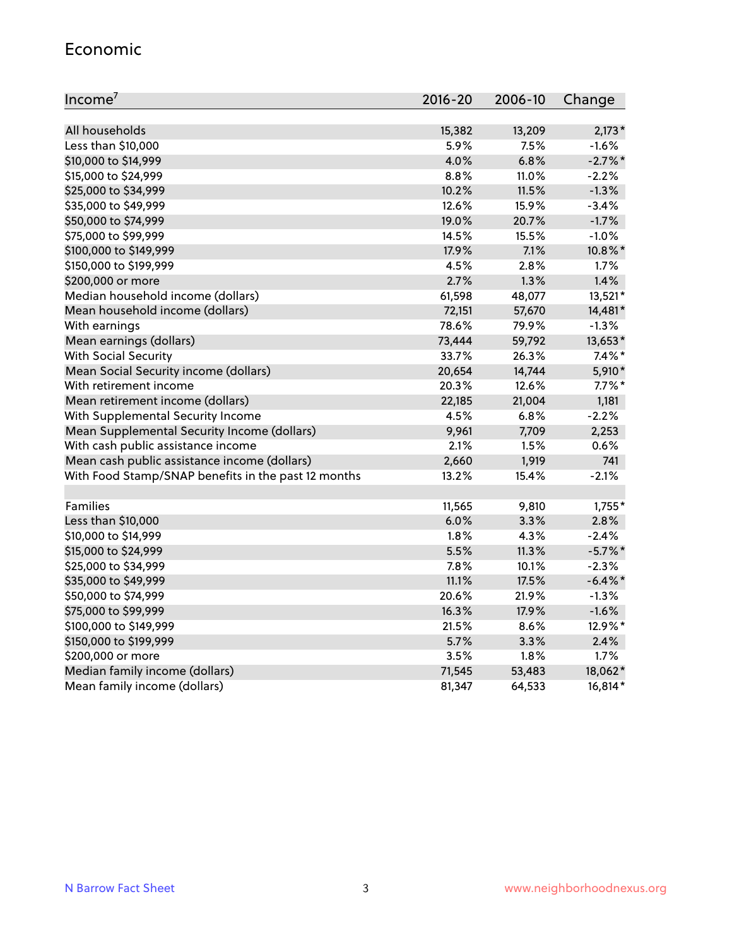#### Economic

| Income <sup>7</sup>                                 | $2016 - 20$ | 2006-10 | Change     |
|-----------------------------------------------------|-------------|---------|------------|
|                                                     |             |         |            |
| All households                                      | 15,382      | 13,209  | $2,173*$   |
| Less than \$10,000                                  | 5.9%        | 7.5%    | $-1.6%$    |
| \$10,000 to \$14,999                                | 4.0%        | 6.8%    | $-2.7\%$ * |
| \$15,000 to \$24,999                                | 8.8%        | 11.0%   | $-2.2%$    |
| \$25,000 to \$34,999                                | 10.2%       | 11.5%   | $-1.3%$    |
| \$35,000 to \$49,999                                | 12.6%       | 15.9%   | $-3.4%$    |
| \$50,000 to \$74,999                                | 19.0%       | 20.7%   | $-1.7%$    |
| \$75,000 to \$99,999                                | 14.5%       | 15.5%   | $-1.0%$    |
| \$100,000 to \$149,999                              | 17.9%       | 7.1%    | 10.8%*     |
| \$150,000 to \$199,999                              | 4.5%        | 2.8%    | 1.7%       |
| \$200,000 or more                                   | 2.7%        | 1.3%    | 1.4%       |
| Median household income (dollars)                   | 61,598      | 48,077  | 13,521*    |
| Mean household income (dollars)                     | 72,151      | 57,670  | 14,481*    |
| With earnings                                       | 78.6%       | 79.9%   | $-1.3%$    |
| Mean earnings (dollars)                             | 73,444      | 59,792  | 13,653*    |
| <b>With Social Security</b>                         | 33.7%       | 26.3%   | $7.4\%$ *  |
| Mean Social Security income (dollars)               | 20,654      | 14,744  | 5,910*     |
| With retirement income                              | 20.3%       | 12.6%   | $7.7\%$ *  |
| Mean retirement income (dollars)                    | 22,185      | 21,004  | 1,181      |
| With Supplemental Security Income                   | 4.5%        | 6.8%    | $-2.2%$    |
| Mean Supplemental Security Income (dollars)         | 9,961       | 7,709   | 2,253      |
| With cash public assistance income                  | 2.1%        | 1.5%    | 0.6%       |
| Mean cash public assistance income (dollars)        | 2,660       | 1,919   | 741        |
| With Food Stamp/SNAP benefits in the past 12 months | 13.2%       | 15.4%   | $-2.1%$    |
|                                                     |             |         |            |
| Families                                            | 11,565      | 9,810   | $1,755*$   |
| Less than \$10,000                                  | 6.0%        | 3.3%    | 2.8%       |
| \$10,000 to \$14,999                                | 1.8%        | 4.3%    | $-2.4%$    |
| \$15,000 to \$24,999                                | 5.5%        | 11.3%   | $-5.7%$ *  |
| \$25,000 to \$34,999                                | 7.8%        | 10.1%   | $-2.3%$    |
| \$35,000 to \$49,999                                | 11.1%       | 17.5%   | $-6.4\%$ * |
| \$50,000 to \$74,999                                | 20.6%       | 21.9%   | $-1.3%$    |
| \$75,000 to \$99,999                                | 16.3%       | 17.9%   | $-1.6%$    |
| \$100,000 to \$149,999                              | 21.5%       | 8.6%    | 12.9%*     |
| \$150,000 to \$199,999                              | 5.7%        | 3.3%    | 2.4%       |
| \$200,000 or more                                   | 3.5%        | 1.8%    | 1.7%       |
| Median family income (dollars)                      | 71,545      | 53,483  | 18,062*    |
| Mean family income (dollars)                        | 81,347      | 64,533  | 16,814*    |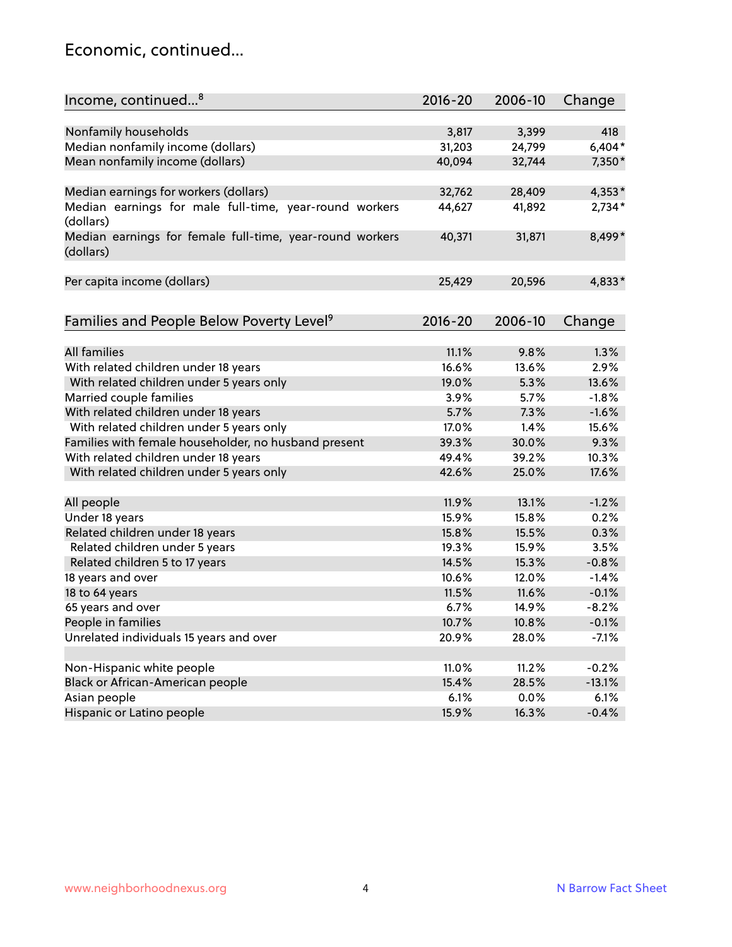#### Economic, continued...

| Income, continued <sup>8</sup>                                        | $2016 - 20$ | 2006-10 | Change   |
|-----------------------------------------------------------------------|-------------|---------|----------|
|                                                                       |             |         |          |
| Nonfamily households                                                  | 3,817       | 3,399   | 418      |
| Median nonfamily income (dollars)                                     | 31,203      | 24,799  | $6,404*$ |
| Mean nonfamily income (dollars)                                       | 40,094      | 32,744  | 7,350*   |
|                                                                       |             |         |          |
| Median earnings for workers (dollars)                                 | 32,762      | 28,409  | 4,353*   |
| Median earnings for male full-time, year-round workers<br>(dollars)   | 44,627      | 41,892  | $2,734*$ |
| Median earnings for female full-time, year-round workers<br>(dollars) | 40,371      | 31,871  | 8,499*   |
| Per capita income (dollars)                                           | 25,429      | 20,596  | 4,833*   |
| Families and People Below Poverty Level <sup>9</sup>                  | $2016 - 20$ | 2006-10 | Change   |
|                                                                       |             |         |          |
| <b>All families</b>                                                   | 11.1%       | 9.8%    | 1.3%     |
| With related children under 18 years                                  | 16.6%       | 13.6%   | 2.9%     |
| With related children under 5 years only                              | 19.0%       | 5.3%    | 13.6%    |
| Married couple families                                               | 3.9%        | 5.7%    | $-1.8%$  |
| With related children under 18 years                                  | 5.7%        | 7.3%    | $-1.6%$  |
| With related children under 5 years only                              | 17.0%       | 1.4%    | 15.6%    |
| Families with female householder, no husband present                  | 39.3%       | 30.0%   | 9.3%     |
| With related children under 18 years                                  | 49.4%       | 39.2%   | 10.3%    |
| With related children under 5 years only                              | 42.6%       | 25.0%   | 17.6%    |
|                                                                       |             |         |          |
| All people                                                            | 11.9%       | 13.1%   | $-1.2%$  |
| Under 18 years                                                        | 15.9%       | 15.8%   | 0.2%     |
| Related children under 18 years                                       | 15.8%       | 15.5%   | 0.3%     |
| Related children under 5 years                                        | 19.3%       | 15.9%   | 3.5%     |
| Related children 5 to 17 years                                        | 14.5%       | 15.3%   | $-0.8%$  |
| 18 years and over                                                     | 10.6%       | 12.0%   | $-1.4%$  |
| 18 to 64 years                                                        | 11.5%       | 11.6%   | $-0.1%$  |
| 65 years and over                                                     | 6.7%        | 14.9%   | $-8.2%$  |
| People in families                                                    | 10.7%       | 10.8%   | $-0.1%$  |
| Unrelated individuals 15 years and over                               | 20.9%       | 28.0%   | $-7.1%$  |
|                                                                       |             |         |          |
| Non-Hispanic white people                                             | 11.0%       | 11.2%   | $-0.2%$  |
| Black or African-American people                                      | 15.4%       | 28.5%   | $-13.1%$ |
| Asian people                                                          | 6.1%        | 0.0%    | 6.1%     |
| Hispanic or Latino people                                             | 15.9%       | 16.3%   | $-0.4%$  |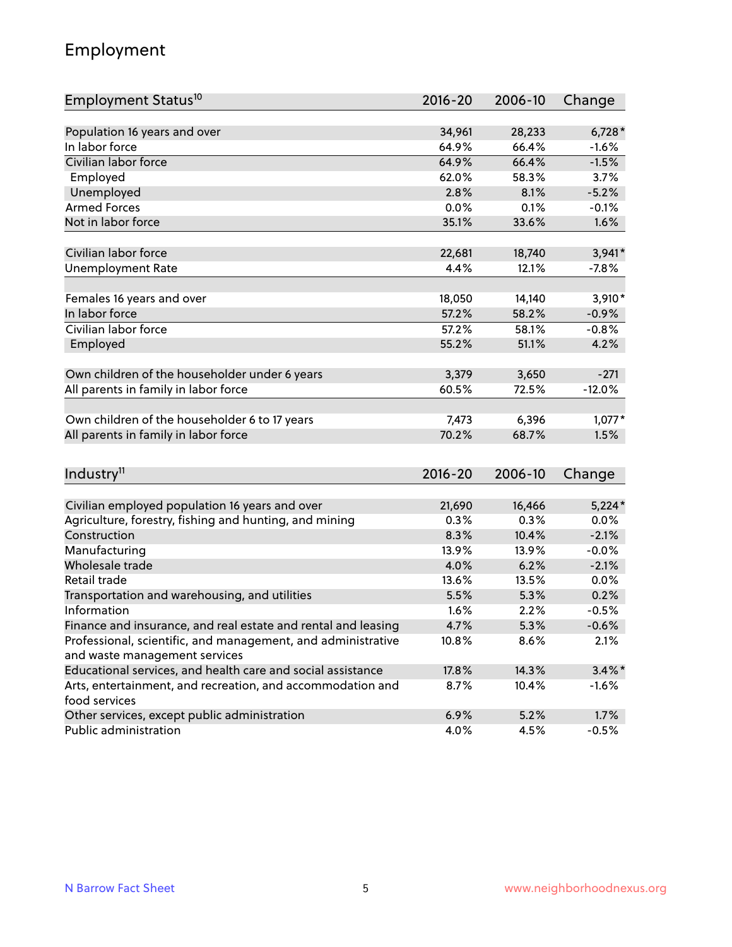## Employment

| Employment Status <sup>10</sup>                                             | $2016 - 20$ | 2006-10 | Change    |
|-----------------------------------------------------------------------------|-------------|---------|-----------|
|                                                                             |             |         |           |
| Population 16 years and over                                                | 34,961      | 28,233  | $6,728*$  |
| In labor force                                                              | 64.9%       | 66.4%   | $-1.6%$   |
| Civilian labor force                                                        | 64.9%       | 66.4%   | $-1.5%$   |
| Employed                                                                    | 62.0%       | 58.3%   | 3.7%      |
| Unemployed                                                                  | 2.8%        | 8.1%    | $-5.2%$   |
| <b>Armed Forces</b>                                                         | 0.0%        | 0.1%    | $-0.1%$   |
| Not in labor force                                                          | 35.1%       | 33.6%   | 1.6%      |
| Civilian labor force                                                        | 22,681      | 18,740  | $3,941*$  |
| <b>Unemployment Rate</b>                                                    | 4.4%        | 12.1%   | $-7.8%$   |
|                                                                             |             |         |           |
| Females 16 years and over                                                   | 18,050      | 14,140  | $3,910*$  |
| In labor force                                                              | 57.2%       | 58.2%   | $-0.9%$   |
| Civilian labor force                                                        | 57.2%       | 58.1%   | $-0.8%$   |
| Employed                                                                    | 55.2%       | 51.1%   | 4.2%      |
|                                                                             |             |         |           |
| Own children of the householder under 6 years                               | 3,379       | 3,650   | $-271$    |
| All parents in family in labor force                                        | 60.5%       | 72.5%   | $-12.0%$  |
|                                                                             |             |         |           |
| Own children of the householder 6 to 17 years                               | 7,473       | 6,396   | $1,077*$  |
| All parents in family in labor force                                        | 70.2%       | 68.7%   | 1.5%      |
|                                                                             |             |         |           |
| Industry <sup>11</sup>                                                      | $2016 - 20$ | 2006-10 | Change    |
|                                                                             |             |         |           |
| Civilian employed population 16 years and over                              | 21,690      | 16,466  | $5,224*$  |
| Agriculture, forestry, fishing and hunting, and mining                      | 0.3%        | 0.3%    | 0.0%      |
| Construction                                                                | 8.3%        | 10.4%   | $-2.1%$   |
| Manufacturing                                                               | 13.9%       | 13.9%   | $-0.0%$   |
| Wholesale trade                                                             | 4.0%        | 6.2%    | $-2.1%$   |
| Retail trade                                                                | 13.6%       | 13.5%   | 0.0%      |
| Transportation and warehousing, and utilities                               | 5.5%        | 5.3%    | 0.2%      |
| Information                                                                 | 1.6%        | 2.2%    | $-0.5%$   |
| Finance and insurance, and real estate and rental and leasing               | 4.7%        | 5.3%    | $-0.6%$   |
| Professional, scientific, and management, and administrative                | 10.8%       | 8.6%    | 2.1%      |
| and waste management services                                               |             |         |           |
| Educational services, and health care and social assistance                 | 17.8%       | 14.3%   | $3.4\%$ * |
| Arts, entertainment, and recreation, and accommodation and<br>food services | 8.7%        | 10.4%   | $-1.6%$   |
| Other services, except public administration                                | 6.9%        | 5.2%    | 1.7%      |
| Public administration                                                       | 4.0%        | 4.5%    | $-0.5%$   |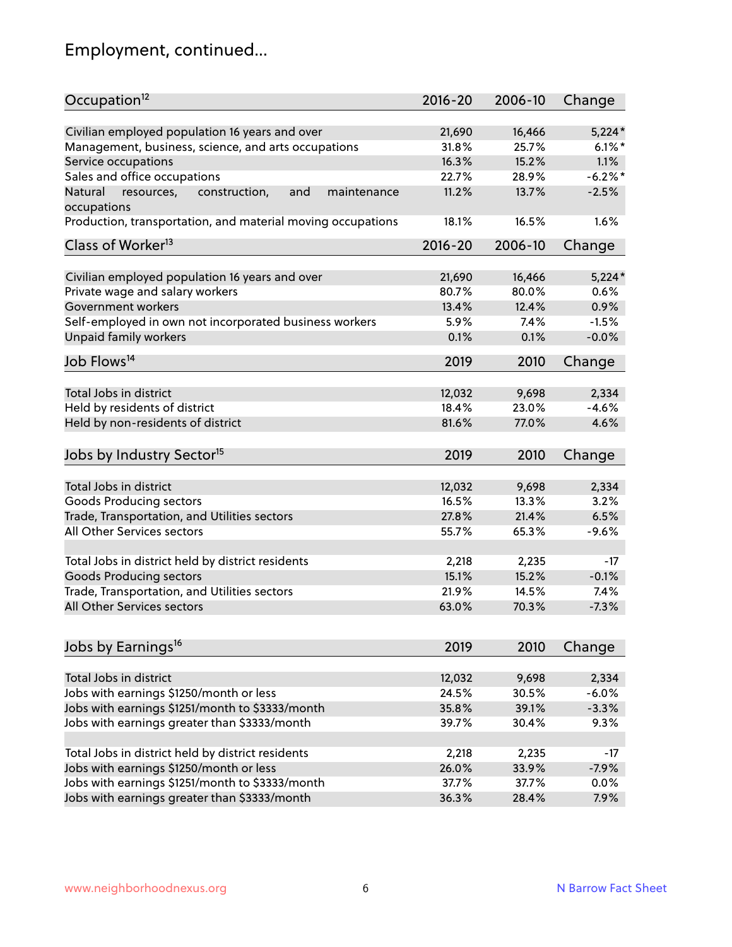# Employment, continued...

| Occupation <sup>12</sup>                                                    | $2016 - 20$ | 2006-10 | Change     |
|-----------------------------------------------------------------------------|-------------|---------|------------|
| Civilian employed population 16 years and over                              | 21,690      | 16,466  | $5,224*$   |
| Management, business, science, and arts occupations                         | 31.8%       | 25.7%   | $6.1\%$    |
| Service occupations                                                         | 16.3%       | 15.2%   | 1.1%       |
| Sales and office occupations                                                | 22.7%       | 28.9%   | $-6.2\%$ * |
|                                                                             | 11.2%       |         | $-2.5%$    |
| Natural<br>and<br>resources,<br>construction,<br>maintenance<br>occupations |             | 13.7%   |            |
| Production, transportation, and material moving occupations                 | 18.1%       | 16.5%   | 1.6%       |
| Class of Worker <sup>13</sup>                                               | $2016 - 20$ | 2006-10 | Change     |
|                                                                             |             |         |            |
| Civilian employed population 16 years and over                              | 21,690      | 16,466  | $5,224*$   |
| Private wage and salary workers                                             | 80.7%       | 80.0%   | 0.6%       |
| Government workers                                                          | 13.4%       | 12.4%   | 0.9%       |
| Self-employed in own not incorporated business workers                      | 5.9%        | 7.4%    | $-1.5%$    |
| Unpaid family workers                                                       | 0.1%        | 0.1%    | $-0.0%$    |
| Job Flows <sup>14</sup>                                                     | 2019        | 2010    | Change     |
|                                                                             |             |         |            |
| Total Jobs in district                                                      | 12,032      | 9,698   | 2,334      |
| Held by residents of district                                               | 18.4%       | 23.0%   | $-4.6%$    |
| Held by non-residents of district                                           | 81.6%       | 77.0%   | 4.6%       |
| Jobs by Industry Sector <sup>15</sup>                                       | 2019        | 2010    | Change     |
|                                                                             |             |         |            |
| Total Jobs in district                                                      | 12,032      | 9,698   | 2,334      |
| Goods Producing sectors                                                     | 16.5%       | 13.3%   | 3.2%       |
| Trade, Transportation, and Utilities sectors                                | 27.8%       | 21.4%   | 6.5%       |
| All Other Services sectors                                                  | 55.7%       | 65.3%   | $-9.6%$    |
|                                                                             |             |         |            |
| Total Jobs in district held by district residents                           | 2,218       | 2,235   | $-17$      |
| <b>Goods Producing sectors</b>                                              | 15.1%       | 15.2%   | $-0.1%$    |
| Trade, Transportation, and Utilities sectors                                | 21.9%       | 14.5%   | 7.4%       |
| All Other Services sectors                                                  | 63.0%       | 70.3%   | $-7.3%$    |
|                                                                             |             |         |            |
| Jobs by Earnings <sup>16</sup>                                              | 2019        | 2010    | Change     |
|                                                                             |             |         |            |
| Total Jobs in district                                                      | 12,032      | 9,698   | 2,334      |
| Jobs with earnings \$1250/month or less                                     | 24.5%       | 30.5%   | $-6.0%$    |
| Jobs with earnings \$1251/month to \$3333/month                             | 35.8%       | 39.1%   | $-3.3%$    |
| Jobs with earnings greater than \$3333/month                                | 39.7%       | 30.4%   | 9.3%       |
| Total Jobs in district held by district residents                           | 2,218       | 2,235   | $-17$      |
| Jobs with earnings \$1250/month or less                                     | 26.0%       | 33.9%   | $-7.9%$    |
| Jobs with earnings \$1251/month to \$3333/month                             | 37.7%       | 37.7%   | 0.0%       |
| Jobs with earnings greater than \$3333/month                                | 36.3%       | 28.4%   | 7.9%       |
|                                                                             |             |         |            |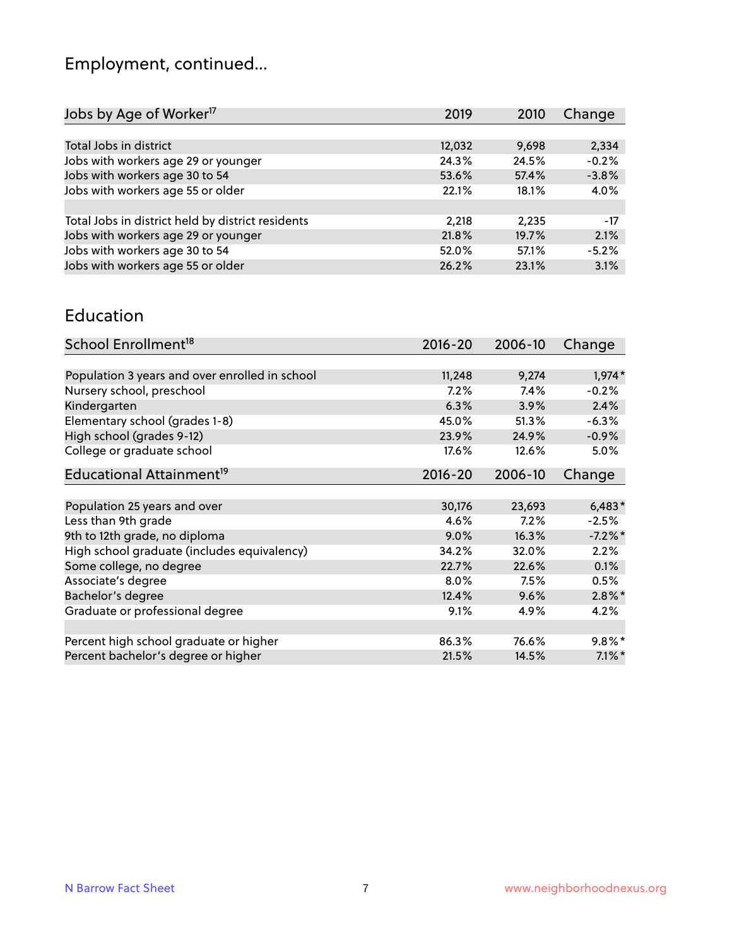# Employment, continued...

| 2019   | 2010  | Change  |
|--------|-------|---------|
|        |       |         |
| 12,032 | 9,698 | 2,334   |
| 24.3%  | 24.5% | $-0.2%$ |
| 53.6%  | 57.4% | $-3.8%$ |
| 22.1%  | 18.1% | 4.0%    |
|        |       |         |
| 2.218  | 2.235 | $-17$   |
| 21.8%  | 19.7% | 2.1%    |
| 52.0%  | 57.1% | $-5.2%$ |
| 26.2%  | 23.1% | 3.1%    |
|        |       |         |

#### Education

| School Enrollment <sup>18</sup>                | $2016 - 20$ | 2006-10 | Change     |
|------------------------------------------------|-------------|---------|------------|
|                                                |             |         |            |
| Population 3 years and over enrolled in school | 11,248      | 9,274   | $1,974*$   |
| Nursery school, preschool                      | 7.2%        | 7.4%    | $-0.2%$    |
| Kindergarten                                   | 6.3%        | 3.9%    | 2.4%       |
| Elementary school (grades 1-8)                 | 45.0%       | 51.3%   | $-6.3%$    |
| High school (grades 9-12)                      | 23.9%       | 24.9%   | $-0.9%$    |
| College or graduate school                     | 17.6%       | 12.6%   | $5.0\%$    |
| Educational Attainment <sup>19</sup>           | $2016 - 20$ | 2006-10 | Change     |
|                                                |             |         |            |
| Population 25 years and over                   | 30,176      | 23,693  | $6,483*$   |
| Less than 9th grade                            | 4.6%        | 7.2%    | $-2.5%$    |
| 9th to 12th grade, no diploma                  | 9.0%        | 16.3%   | $-7.2\%$ * |
| High school graduate (includes equivalency)    | 34.2%       | 32.0%   | 2.2%       |
| Some college, no degree                        | 22.7%       | 22.6%   | 0.1%       |
| Associate's degree                             | 8.0%        | 7.5%    | 0.5%       |
| Bachelor's degree                              | 12.4%       | 9.6%    | $2.8\%$ *  |
| Graduate or professional degree                | 9.1%        | 4.9%    | 4.2%       |
|                                                |             |         |            |
| Percent high school graduate or higher         | 86.3%       | 76.6%   | $9.8\%$ *  |
| Percent bachelor's degree or higher            | 21.5%       | 14.5%   | $7.1\%$ *  |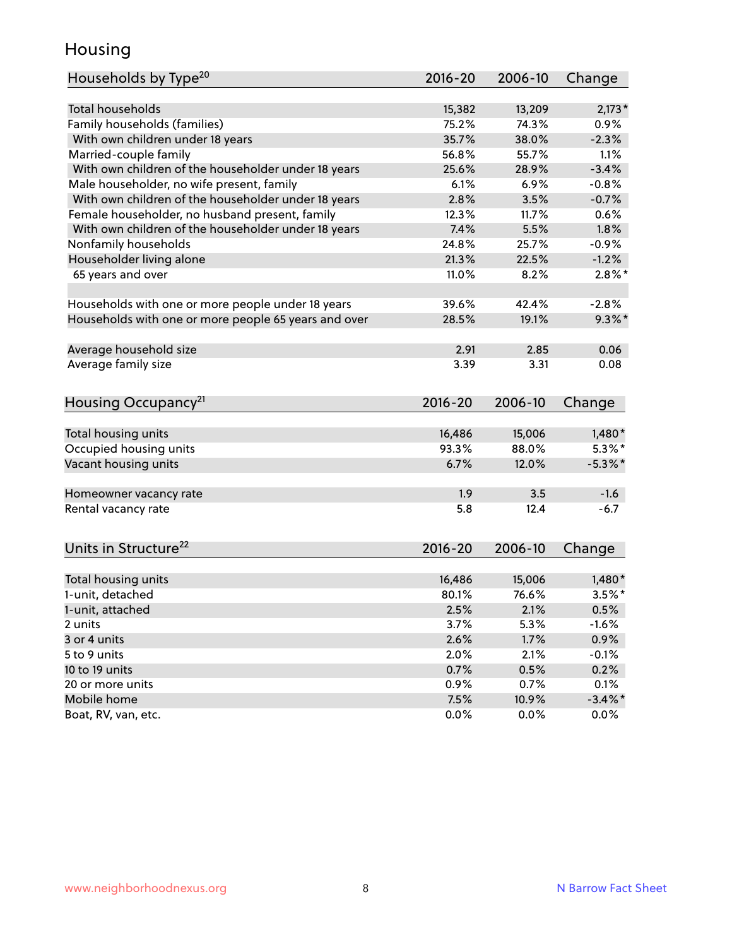## Housing

| Households by Type <sup>20</sup>                     | 2016-20 | 2006-10 | Change     |
|------------------------------------------------------|---------|---------|------------|
|                                                      |         |         |            |
| <b>Total households</b>                              | 15,382  | 13,209  | $2,173*$   |
| Family households (families)                         | 75.2%   | 74.3%   | 0.9%       |
| With own children under 18 years                     | 35.7%   | 38.0%   | $-2.3%$    |
| Married-couple family                                | 56.8%   | 55.7%   | 1.1%       |
| With own children of the householder under 18 years  | 25.6%   | 28.9%   | $-3.4%$    |
| Male householder, no wife present, family            | 6.1%    | 6.9%    | $-0.8%$    |
| With own children of the householder under 18 years  | 2.8%    | 3.5%    | $-0.7%$    |
| Female householder, no husband present, family       | 12.3%   | 11.7%   | 0.6%       |
| With own children of the householder under 18 years  | 7.4%    | 5.5%    | 1.8%       |
| Nonfamily households                                 | 24.8%   | 25.7%   | $-0.9%$    |
| Householder living alone                             | 21.3%   | 22.5%   | $-1.2%$    |
| 65 years and over                                    | 11.0%   | 8.2%    | $2.8\%$ *  |
|                                                      |         |         |            |
| Households with one or more people under 18 years    | 39.6%   | 42.4%   | $-2.8%$    |
| Households with one or more people 65 years and over | 28.5%   | 19.1%   | $9.3\%$ *  |
|                                                      |         |         |            |
| Average household size                               | 2.91    | 2.85    | 0.06       |
| Average family size                                  | 3.39    | 3.31    | 0.08       |
| Housing Occupancy <sup>21</sup>                      | 2016-20 | 2006-10 | Change     |
|                                                      |         |         |            |
| Total housing units                                  | 16,486  | 15,006  | $1,480*$   |
| Occupied housing units                               | 93.3%   | 88.0%   | $5.3\%$ *  |
| Vacant housing units                                 | 6.7%    | 12.0%   | $-5.3\%$ * |
|                                                      |         |         |            |
| Homeowner vacancy rate                               | 1.9     | 3.5     | $-1.6$     |
| Rental vacancy rate                                  | 5.8     | 12.4    | $-6.7$     |
|                                                      |         |         |            |
| Units in Structure <sup>22</sup>                     | 2016-20 | 2006-10 | Change     |
| Total housing units                                  | 16,486  | 15,006  | $1,480*$   |
| 1-unit, detached                                     | 80.1%   | 76.6%   | $3.5\%$ *  |
| 1-unit, attached                                     | 2.5%    | 2.1%    | 0.5%       |
| 2 units                                              | 3.7%    | 5.3%    | $-1.6%$    |
| 3 or 4 units                                         | 2.6%    | 1.7%    | 0.9%       |
| 5 to 9 units                                         | 2.0%    | 2.1%    | $-0.1%$    |
| 10 to 19 units                                       | 0.7%    | 0.5%    | 0.2%       |
| 20 or more units                                     | 0.9%    | 0.7%    | 0.1%       |
| Mobile home                                          | 7.5%    | 10.9%   | $-3.4\%$ * |
| Boat, RV, van, etc.                                  | 0.0%    | 0.0%    | 0.0%       |
|                                                      |         |         |            |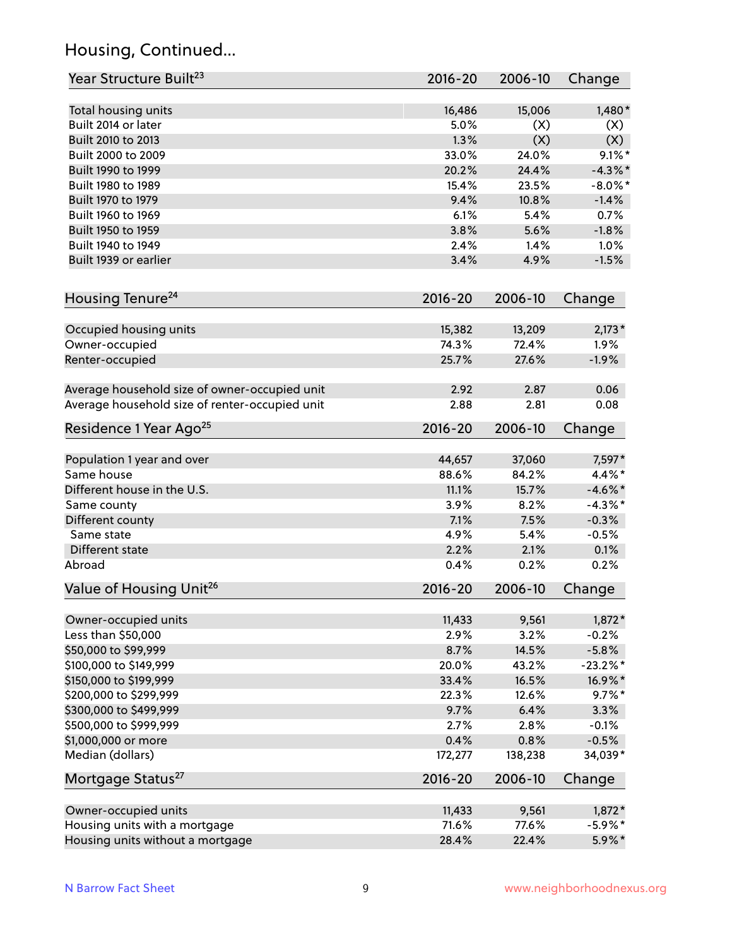## Housing, Continued...

| Year Structure Built <sup>23</sup>             | 2016-20     | 2006-10 | Change      |
|------------------------------------------------|-------------|---------|-------------|
| Total housing units                            | 16,486      | 15,006  | $1,480*$    |
| Built 2014 or later                            | 5.0%        | (X)     | (X)         |
| Built 2010 to 2013                             | 1.3%        | (X)     | (X)         |
| Built 2000 to 2009                             | 33.0%       | 24.0%   | $9.1\%$ *   |
| Built 1990 to 1999                             | 20.2%       | 24.4%   | $-4.3\%$ *  |
| Built 1980 to 1989                             | 15.4%       | 23.5%   | $-8.0\%$ *  |
| Built 1970 to 1979                             | 9.4%        | 10.8%   | $-1.4%$     |
| Built 1960 to 1969                             | 6.1%        | 5.4%    | 0.7%        |
| Built 1950 to 1959                             | 3.8%        | 5.6%    | $-1.8%$     |
| Built 1940 to 1949                             | 2.4%        | 1.4%    | 1.0%        |
| Built 1939 or earlier                          | 3.4%        | 4.9%    | $-1.5%$     |
|                                                |             |         |             |
| Housing Tenure <sup>24</sup>                   | $2016 - 20$ | 2006-10 | Change      |
| Occupied housing units                         | 15,382      | 13,209  | $2,173*$    |
| Owner-occupied                                 | 74.3%       | 72.4%   | 1.9%        |
| Renter-occupied                                | 25.7%       | 27.6%   | $-1.9%$     |
| Average household size of owner-occupied unit  | 2.92        | 2.87    | 0.06        |
| Average household size of renter-occupied unit | 2.88        | 2.81    | 0.08        |
| Residence 1 Year Ago <sup>25</sup>             | $2016 - 20$ | 2006-10 | Change      |
|                                                |             |         |             |
| Population 1 year and over                     | 44,657      | 37,060  | 7,597*      |
| Same house                                     | 88.6%       | 84.2%   | $4.4\%$ *   |
| Different house in the U.S.                    | 11.1%       | 15.7%   | $-4.6\%$ *  |
| Same county                                    | 3.9%        | 8.2%    | $-4.3\%$ *  |
| Different county                               | 7.1%        | 7.5%    | $-0.3%$     |
| Same state                                     | 4.9%        | 5.4%    | $-0.5%$     |
| Different state                                | 2.2%        | 2.1%    | 0.1%        |
| Abroad                                         | 0.4%        | 0.2%    | 0.2%        |
| Value of Housing Unit <sup>26</sup>            | $2016 - 20$ | 2006-10 | Change      |
| Owner-occupied units                           | 11,433      | 9,561   | $1,872*$    |
| Less than \$50,000                             | 2.9%        | 3.2%    | $-0.2%$     |
| \$50,000 to \$99,999                           | 8.7%        | 14.5%   | $-5.8%$     |
| \$100,000 to \$149,999                         | 20.0%       | 43.2%   | $-23.2\%$ * |
| \$150,000 to \$199,999                         | 33.4%       | 16.5%   | 16.9%*      |
| \$200,000 to \$299,999                         | 22.3%       | 12.6%   | $9.7\%$ *   |
| \$300,000 to \$499,999                         | 9.7%        | 6.4%    | 3.3%        |
| \$500,000 to \$999,999                         | 2.7%        | 2.8%    | $-0.1%$     |
| \$1,000,000 or more                            | 0.4%        | 0.8%    | $-0.5%$     |
| Median (dollars)                               | 172,277     | 138,238 | 34,039*     |
| Mortgage Status <sup>27</sup>                  | $2016 - 20$ | 2006-10 | Change      |
| Owner-occupied units                           | 11,433      | 9,561   | $1,872*$    |
| Housing units with a mortgage                  | 71.6%       | 77.6%   | $-5.9\%$ *  |
| Housing units without a mortgage               | 28.4%       | 22.4%   | 5.9%*       |
|                                                |             |         |             |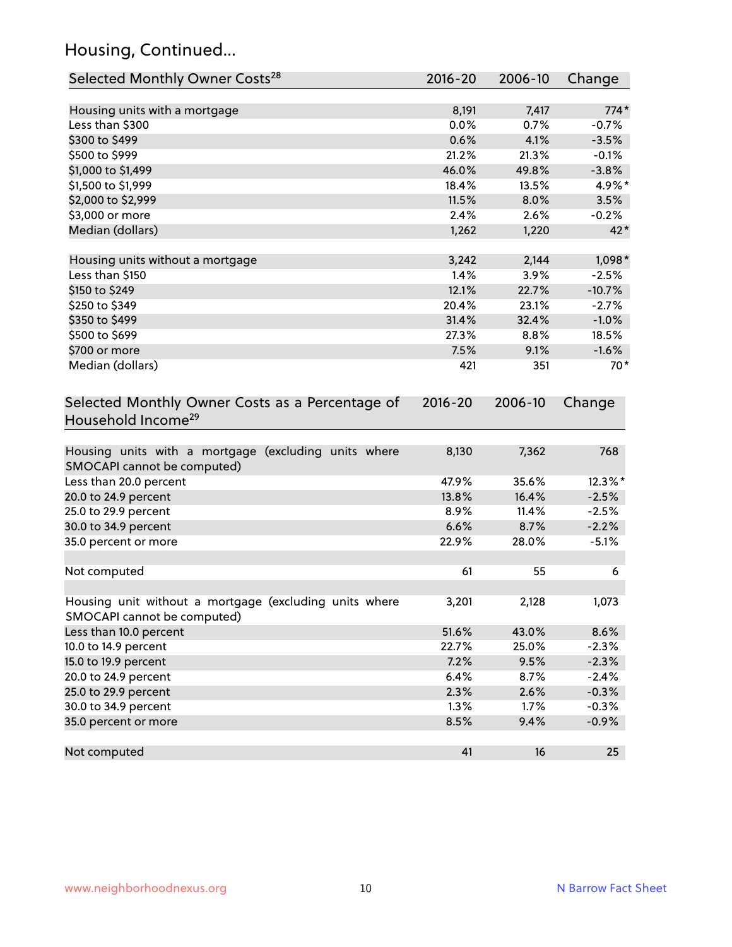## Housing, Continued...

| Selected Monthly Owner Costs <sup>28</sup>                                            | 2016-20     | 2006-10 | Change   |
|---------------------------------------------------------------------------------------|-------------|---------|----------|
| Housing units with a mortgage                                                         | 8,191       | 7,417   | $774*$   |
| Less than \$300                                                                       | 0.0%        | 0.7%    | $-0.7%$  |
| \$300 to \$499                                                                        | 0.6%        | 4.1%    | $-3.5%$  |
| \$500 to \$999                                                                        | 21.2%       | 21.3%   | $-0.1%$  |
| \$1,000 to \$1,499                                                                    | 46.0%       | 49.8%   | $-3.8%$  |
| \$1,500 to \$1,999                                                                    | 18.4%       | 13.5%   | 4.9%*    |
| \$2,000 to \$2,999                                                                    | 11.5%       | 8.0%    | 3.5%     |
| \$3,000 or more                                                                       | 2.4%        | 2.6%    | $-0.2%$  |
| Median (dollars)                                                                      | 1,262       | 1,220   | $42*$    |
| Housing units without a mortgage                                                      | 3,242       | 2,144   | $1,098*$ |
| Less than \$150                                                                       | 1.4%        | 3.9%    | $-2.5%$  |
| \$150 to \$249                                                                        | 12.1%       | 22.7%   | $-10.7%$ |
| \$250 to \$349                                                                        | 20.4%       | 23.1%   | $-2.7%$  |
| \$350 to \$499                                                                        | 31.4%       | 32.4%   | $-1.0%$  |
| \$500 to \$699                                                                        | 27.3%       | 8.8%    | 18.5%    |
| \$700 or more                                                                         | 7.5%        | 9.1%    | $-1.6%$  |
| Median (dollars)                                                                      | 421         | 351     | $70*$    |
| Selected Monthly Owner Costs as a Percentage of<br>Household Income <sup>29</sup>     | $2016 - 20$ | 2006-10 | Change   |
| Housing units with a mortgage (excluding units where<br>SMOCAPI cannot be computed)   | 8,130       | 7,362   | 768      |
| Less than 20.0 percent                                                                | 47.9%       | 35.6%   | 12.3%*   |
| 20.0 to 24.9 percent                                                                  | 13.8%       | 16.4%   | $-2.5%$  |
| 25.0 to 29.9 percent                                                                  | 8.9%        | 11.4%   | $-2.5%$  |
| 30.0 to 34.9 percent                                                                  | 6.6%        | 8.7%    | $-2.2%$  |
| 35.0 percent or more                                                                  | 22.9%       | 28.0%   | $-5.1%$  |
| Not computed                                                                          | 61          | 55      | 6        |
| Housing unit without a mortgage (excluding units where<br>SMOCAPI cannot be computed) | 3,201       | 2,128   | 1,073    |
| Less than 10.0 percent                                                                | 51.6%       | 43.0%   | 8.6%     |
| 10.0 to 14.9 percent                                                                  | 22.7%       | 25.0%   | $-2.3%$  |
| 15.0 to 19.9 percent                                                                  | 7.2%        | 9.5%    | $-2.3%$  |
| 20.0 to 24.9 percent                                                                  | 6.4%        | 8.7%    | $-2.4%$  |
| 25.0 to 29.9 percent                                                                  | 2.3%        | 2.6%    | $-0.3%$  |
| 30.0 to 34.9 percent                                                                  | 1.3%        | 1.7%    | $-0.3%$  |
| 35.0 percent or more                                                                  | 8.5%        | 9.4%    | $-0.9%$  |
| Not computed                                                                          | 41          | 16      | 25       |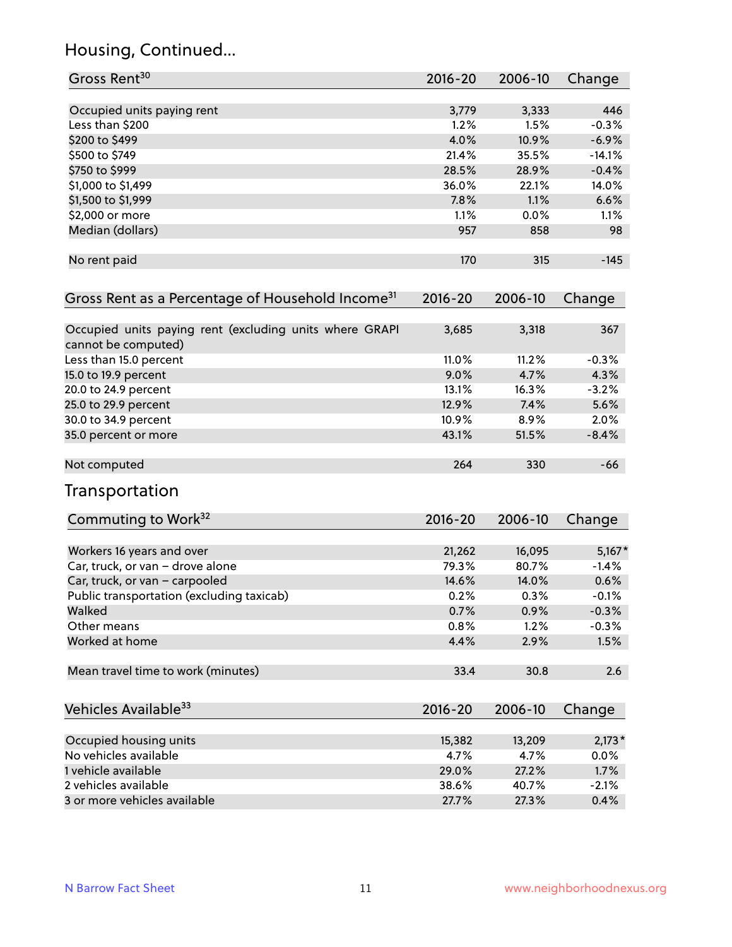# Housing, Continued...

| Gross Rent <sup>30</sup>                                           | 2016-20        | 2006-10        | Change              |
|--------------------------------------------------------------------|----------------|----------------|---------------------|
| Occupied units paying rent                                         | 3,779          | 3,333          | 446                 |
| Less than \$200                                                    | 1.2%           | 1.5%           | $-0.3%$             |
| \$200 to \$499                                                     | 4.0%           | 10.9%          | $-6.9%$             |
| \$500 to \$749                                                     | 21.4%          | 35.5%          | $-14.1%$            |
| \$750 to \$999                                                     | 28.5%          | 28.9%          | $-0.4%$             |
| \$1,000 to \$1,499                                                 | 36.0%          | 22.1%          | 14.0%               |
| \$1,500 to \$1,999                                                 | 7.8%           | 1.1%           | 6.6%                |
| \$2,000 or more                                                    | 1.1%           | 0.0%           | 1.1%                |
| Median (dollars)                                                   | 957            | 858            | 98                  |
|                                                                    |                |                |                     |
| No rent paid                                                       | 170            | 315            | $-145$              |
| Gross Rent as a Percentage of Household Income <sup>31</sup>       | $2016 - 20$    | 2006-10        | Change              |
| Occupied units paying rent (excluding units where GRAPI            | 3,685          | 3,318          | 367                 |
| cannot be computed)                                                |                |                |                     |
| Less than 15.0 percent                                             | 11.0%          | 11.2%          | $-0.3%$             |
| 15.0 to 19.9 percent                                               | 9.0%           | 4.7%           | 4.3%                |
| 20.0 to 24.9 percent                                               | 13.1%          | 16.3%          | $-3.2%$             |
| 25.0 to 29.9 percent                                               | 12.9%          | 7.4%           | 5.6%                |
| 30.0 to 34.9 percent                                               | 10.9%          | 8.9%           | 2.0%                |
| 35.0 percent or more                                               | 43.1%          | 51.5%          | $-8.4%$             |
| Not computed                                                       | 264            | 330            | $-66$               |
| Transportation                                                     |                |                |                     |
| Commuting to Work <sup>32</sup>                                    | 2016-20        | 2006-10        | Change              |
|                                                                    |                |                |                     |
| Workers 16 years and over                                          | 21,262         | 16,095         | $5,167*$<br>$-1.4%$ |
| Car, truck, or van - drove alone<br>Car, truck, or van - carpooled | 79.3%<br>14.6% | 80.7%<br>14.0% | 0.6%                |
| Public transportation (excluding taxicab)                          | 0.2%           | 0.3%           | $-0.1%$             |
| Walked                                                             | 0.7%           | 0.9%           | $-0.3%$             |
| Other means                                                        | 0.8%           | 1.2%           | $-0.3%$             |
| Worked at home                                                     | 4.4%           | 2.9%           | 1.5%                |
|                                                                    |                |                |                     |
| Mean travel time to work (minutes)                                 | 33.4           | 30.8           | 2.6                 |
| Vehicles Available <sup>33</sup>                                   | $2016 - 20$    | 2006-10        | Change              |
| Occupied housing units                                             | 15,382         | 13,209         | $2,173*$            |
| No vehicles available                                              | 4.7%           | 4.7%           | 0.0%                |
| 1 vehicle available                                                | 29.0%          | 27.2%          | 1.7%                |
| 2 vehicles available                                               | 38.6%          | 40.7%          | $-2.1%$             |
| 3 or more vehicles available                                       | 27.7%          | 27.3%          | 0.4%                |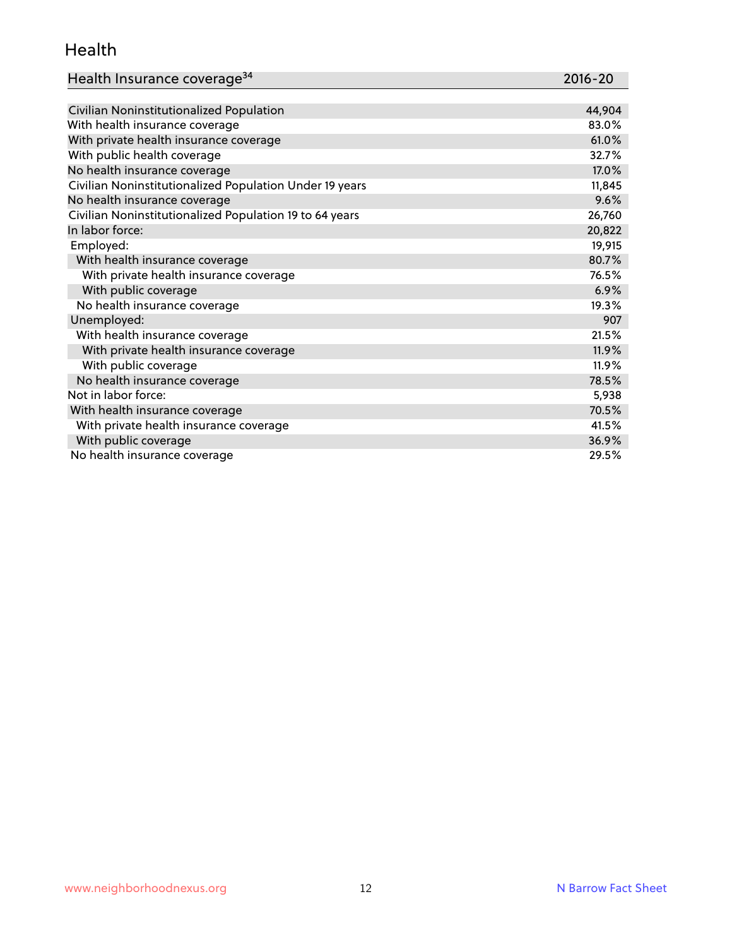#### Health

| Health Insurance coverage <sup>34</sup> | 2016-20 |
|-----------------------------------------|---------|
|-----------------------------------------|---------|

| Civilian Noninstitutionalized Population                | 44,904 |
|---------------------------------------------------------|--------|
| With health insurance coverage                          | 83.0%  |
| With private health insurance coverage                  | 61.0%  |
| With public health coverage                             | 32.7%  |
| No health insurance coverage                            | 17.0%  |
| Civilian Noninstitutionalized Population Under 19 years | 11,845 |
| No health insurance coverage                            | 9.6%   |
| Civilian Noninstitutionalized Population 19 to 64 years | 26,760 |
| In labor force:                                         | 20,822 |
| Employed:                                               | 19,915 |
| With health insurance coverage                          | 80.7%  |
| With private health insurance coverage                  | 76.5%  |
| With public coverage                                    | 6.9%   |
| No health insurance coverage                            | 19.3%  |
| Unemployed:                                             | 907    |
| With health insurance coverage                          | 21.5%  |
| With private health insurance coverage                  | 11.9%  |
| With public coverage                                    | 11.9%  |
| No health insurance coverage                            | 78.5%  |
| Not in labor force:                                     | 5,938  |
| With health insurance coverage                          | 70.5%  |
| With private health insurance coverage                  | 41.5%  |
| With public coverage                                    | 36.9%  |
| No health insurance coverage                            | 29.5%  |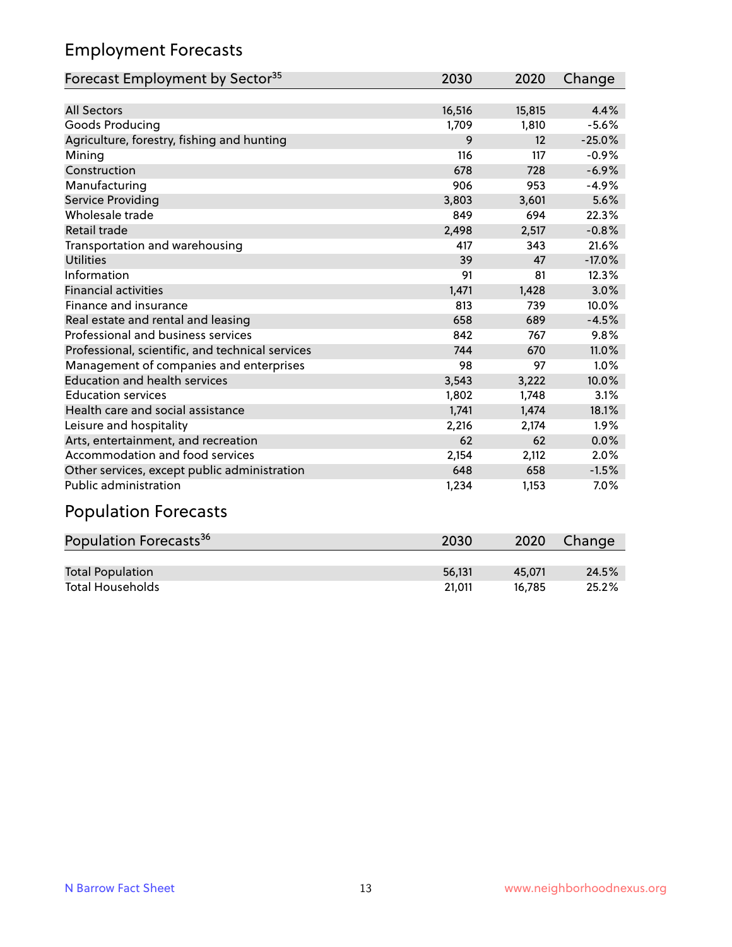## Employment Forecasts

| Forecast Employment by Sector <sup>35</sup>      | 2030   | 2020   | Change   |
|--------------------------------------------------|--------|--------|----------|
|                                                  |        |        |          |
| <b>All Sectors</b>                               | 16,516 | 15,815 | 4.4%     |
| Goods Producing                                  | 1,709  | 1,810  | $-5.6%$  |
| Agriculture, forestry, fishing and hunting       | 9      | 12     | $-25.0%$ |
| Mining                                           | 116    | 117    | $-0.9%$  |
| Construction                                     | 678    | 728    | $-6.9%$  |
| Manufacturing                                    | 906    | 953    | $-4.9%$  |
| Service Providing                                | 3,803  | 3,601  | 5.6%     |
| Wholesale trade                                  | 849    | 694    | 22.3%    |
| Retail trade                                     | 2,498  | 2,517  | $-0.8%$  |
| Transportation and warehousing                   | 417    | 343    | 21.6%    |
| <b>Utilities</b>                                 | 39     | 47     | $-17.0%$ |
| Information                                      | 91     | 81     | 12.3%    |
| <b>Financial activities</b>                      | 1,471  | 1,428  | 3.0%     |
| Finance and insurance                            | 813    | 739    | 10.0%    |
| Real estate and rental and leasing               | 658    | 689    | $-4.5%$  |
| Professional and business services               | 842    | 767    | 9.8%     |
| Professional, scientific, and technical services | 744    | 670    | 11.0%    |
| Management of companies and enterprises          | 98     | 97     | 1.0%     |
| <b>Education and health services</b>             | 3,543  | 3,222  | 10.0%    |
| <b>Education services</b>                        | 1,802  | 1,748  | 3.1%     |
| Health care and social assistance                | 1,741  | 1,474  | 18.1%    |
| Leisure and hospitality                          | 2,216  | 2,174  | 1.9%     |
| Arts, entertainment, and recreation              | 62     | 62     | 0.0%     |
| Accommodation and food services                  | 2,154  | 2,112  | 2.0%     |
| Other services, except public administration     | 648    | 658    | $-1.5%$  |
| <b>Public administration</b>                     | 1,234  | 1,153  | $7.0\%$  |

## Population Forecasts

| Population Forecasts <sup>36</sup> | 2030   | 2020   | Change |
|------------------------------------|--------|--------|--------|
|                                    |        |        |        |
| <b>Total Population</b>            | 56.131 | 45.071 | 24.5%  |
| <b>Total Households</b>            | 21.011 | 16.785 | 25.2%  |